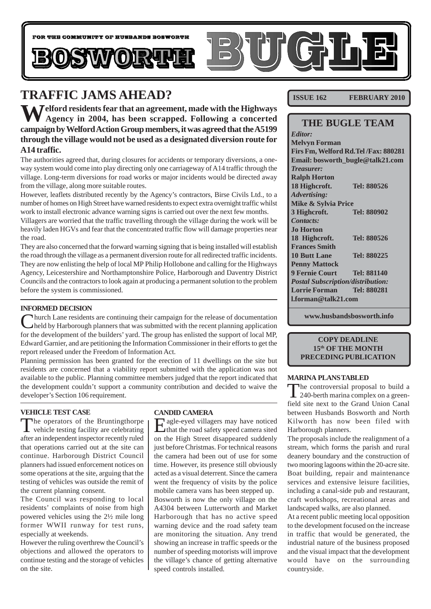

## **TRAFFIC JAMS AHEAD?**

**Welford residents fear that an agreement, made with the Highways Agency in 2004, has been scrapped. Following a concerted campaign by Welford Action Group members, it was agreed that the A5199 through the village would not be used as a designated diversion route for A14 traffic.**

The authorities agreed that, during closures for accidents or temporary diversions, a oneway system would come into play directing only one carriageway of A14 traffic through the village. Long-term diversions for road works or major incidents would be directed away from the village, along more suitable routes.

However, leaflets distributed recently by the Agency's contractors, Birse Civils Ltd., to a number of homes on High Street have warned residents to expect extra overnight traffic whilst work to install electronic advance warning signs is carried out over the next few months. Villagers are worried that the traffic travelling through the village during the work will be heavily laden HGVs and fear that the concentrated traffic flow will damage properties near

the road. They are also concerned that the forward warning signing that is being installed will establish the road through the village as a permanent diversion route for all redirected traffic incidents. They are now enlisting the help of local MP Philip Hollobone and calling for the Highways Agency, Leicestershire and Northamptonshire Police, Harborough and Daventry District Councils and the contractors to look again at producing a permanent solution to the problem before the system is commissioned.

#### **INFORMED DECISION**

Church Lane residents are continuing their campaign for the release of documentation held by Harborough planners that was submitted with the recent planning application for the development of the builders' yard. The group has enlisted the support of local MP, Edward Garnier, and are petitioning the Information Commissioner in their efforts to get the report released under the Freedom of Information Act.

Planning permission has been granted for the erection of 11 dwellings on the site but residents are concerned that a viability report submitted with the application was not available to the public. Planning committee members judged that the report indicated that the development couldn't support a community contribution and decided to waive the developer's Section 106 requirement.

#### **VEHICLE TEST CASE**

The operators of the Bruntingthorpe vehicle testing facility are celebrating after an independent inspector recently ruled that operations carried out at the site can continue. Harborough District Council planners had issued enforcement notices on some operations at the site, arguing that the testing of vehicles was outside the remit of the current planning consent.

The Council was responding to local residents' complaints of noise from high powered vehicles using the 2½ mile long former WWII runway for test runs, especially at weekends.

However the ruling overthrew the Council's objections and allowed the operators to continue testing and the storage of vehicles on the site.

#### **CANDID CAMERA**

Eagle-eyed villagers may have noticed that the road safety speed camera sited on the High Street disappeared suddenly just before Christmas. For technical reasons the camera had been out of use for some time. However, its presence still obviously acted as a visual deterrent. Since the camera went the frequency of visits by the police mobile camera vans has been stepped up. Bosworth is now the only village on the A4304 between Lutterworth and Market Harborough that has no active speed warning device and the road safety team are monitoring the situation. Any trend showing an increase in traffic speeds or the number of speeding motorists will improve the village's chance of getting alternative speed controls installed.

**ISSUE 162 FEBRUARY 2010** 

### **THE BUGLE TEAM**

*Editor:* **Melvyn Forman Firs Fm, Welford Rd.Tel /Fax: 880281 Email: bosworth\_bugle@talk21.com** *Treasurer:* **Ralph Horton 18 Highcroft. Tel: 880526** *Advertising:* **Mike & Sylvia Price 3 Highcroft. Tel: 880902** *Contacts:* **Jo Horton 18 Highcroft. Tel: 880526 Frances Smith 10 Butt Lane Tel: 880225 Penny Mattock 9 Fernie Court Tel: 881140** *Postal Subscription/distribution:* **Lorrie Forman Tel: 880281 l.forman@talk21.com**

**www.husbandsbosworth.info**

#### **COPY DEADLINE 15th OF THE MONTH PRECEDING PUBLICATION**

#### **MARINA PLANS TABLED**

The controversial proposal to build a 240-berth marina complex on a greenfield site next to the Grand Union Canal between Husbands Bosworth and North Kilworth has now been filed with Harborough planners.

The proposals include the realignment of a stream, which forms the parish and rural deanery boundary and the construction of two mooring lagoons within the 20-acre site. Boat building, repair and maintenance services and extensive leisure facilities, including a canal-side pub and restaurant, craft workshops, recreational areas and landscaped walks, are also planned.

At a recent public meeting local opposition to the development focused on the increase in traffic that would be generated, the industrial nature of the business proposed and the visual impact that the development would have on the surrounding countryside.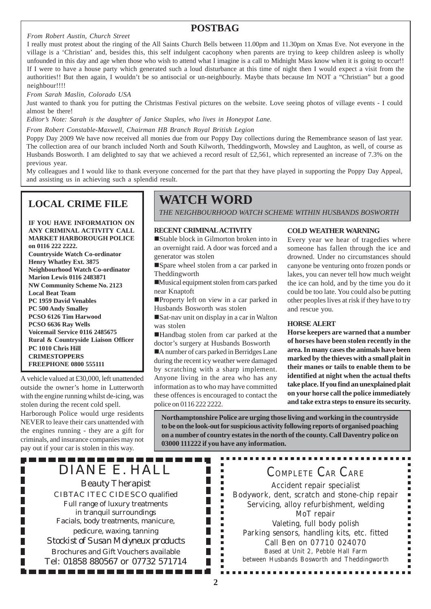#### *From Robert Austin, Church Street*

### **POSTBAG**

I really must protest about the ringing of the All Saints Church Bells between 11.00pm and 11.30pm on Xmas Eve. Not everyone in the village is a 'Christian' and, besides this, this self indulgent cacophony when parents are trying to keep children asleep is wholly unfounded in this day and age when those who wish to attend what I imagine is a call to Midnight Mass know when it is going to occur!! If I were to have a house party which generated such a loud disturbance at this time of night then I would expect a visit from the authorities!! But then again, I wouldn't be so antisocial or un-neighbourly. Maybe thats because Im NOT a "Christian" but a good neighbour!!!!

*From Sarah Maslin, Colorado USA*

Just wanted to thank you for putting the Christmas Festival pictures on the website. Love seeing photos of village events - I could almost be there!

*Editor's Note: Sarah is the daughter of Janice Staples, who lives in Honeypot Lane.*

*From Robert Constable-Maxwell, Chairman HB Branch Royal British Legion*

Poppy Day 2009 We have now received all monies due from our Poppy Day collections during the Remembrance season of last year. The collection area of our branch included North and South Kilworth, Theddingworth, Mowsley and Laughton, as well, of course as Husbands Bosworth. I am delighted to say that we achieved a record result of £2,561, which represented an increase of 7.3% on the previous year.

My colleagues and I would like to thank everyone concerned for the part that they have played in supporting the Poppy Day Appeal, and assisting us in achieving such a splendid result.

### **LOCAL CRIME FILE**

**IF YOU HAVE INFORMATION ON ANY CRIMINAL ACTIVITY CALL MARKET HARBOROUGH POLICE on 0116 222 2222. Countryside Watch Co-ordinator Henry Whatley Ext. 3875 Neighbourhood Watch Co-ordinator Marion Lewis 0116 2483871 NW Community Scheme No. 2123 Local Beat Team PC 1959 David Venables PC 500 Andy Smalley PCSO 6126 Tim Harwood PCSO 6636 Ray Wells Voicemail Service 0116 2485675 Rural & Countryside Liaison Officer PC 1010 Chris Hill CRIMESTOPPERS FREEPHONE 0800 555111**

A vehicle valued at £30,000, left unattended outside the owner's home in Lutterworth with the engine running whilst de-icing, was stolen during the recent cold spell. Harborough Police would urge residents NEVER to leave their cars unattended with the engines running - they are a gift for criminals, and insurance companies may not pay out if your car is stolen in this way.

------

П

П

## **WATCH WORD**

*THE NEIGHBOURHOOD WATCH SCHEME WITHIN HUSBANDS BOSWORTH*

#### **RECENT CRIMINAL ACTIVITY**

!Stable block in Gilmorton broken into in an overnight raid. A door was forced and a generator was stolen

!Spare wheel stolen from a car parked in Theddingworth

!Musical equipment stolen from cars parked near Knaptoft

**Property left on view in a car parked in** Husbands Bosworth was stolen

!Sat-nav unit on display in a car in Walton was stolen

!Handbag stolen from car parked at the doctor's surgery at Husbands Bosworth

!A number of cars parked in Berridges Lane during the recent icy weather were damaged by scratching with a sharp implement. Anyone living in the area who has any information as to who may have committed these offences is encouraged to contact the police on 0116 222 2222.

> П  $\blacksquare$ I.

> П I. ×  $\blacksquare$ Ē Г

#### **COLD WEATHER WARNING**

Every year we hear of tragedies where someone has fallen through the ice and drowned. Under no circumstances should canyone be venturing onto frozen ponds or lakes, you can never tell how much weight the ice can hold, and by the time you do it could be too late. You could also be putting other peoples lives at risk if they have to try and rescue you.

#### **HORSE ALERT**

**Horse keepers are warned that a number of horses have been stolen recently in the area. In many cases the animals have been marked by the thieves with a small plait in their manes or tails to enable them to be identified at night when the actual thefts take place. If you find an unexplained plait on your horse call the police immediately and take extra steps to ensure its security.**

**Northamptonshire Police are urging those living and working in the countryside to be on the look-out for suspicious activity following reports of organised poaching on a number of country estates in the north of the county. Call Daventry police on 03000 111222 if you have any information.**

DIANE E. HALL Beauty Therapist CIBTAC ITEC CIDESCO qualified Full range of luxury treatments in tranquil surroundings Facials, body treatments, manicure, pedicure, waxing, tanning *Stockist of Susan Molyneux products* Brochures and Gift Vouchers available Tel: 01858 880567 or 07732 571714

COMPLETE CAR CARE

Accident repair specialist Bodywork, dent, scratch and stone-chip repair Servicing, alloy refurbishment, welding MoT repair Valeting, full body polish Parking sensors, handling kits, etc. fitted Call Ben on 07710 024070 Based at Unit 2, Pebble Hall Farm between Husbands Bosworth and Theddingworth

.............

п F  $\blacksquare$ ē х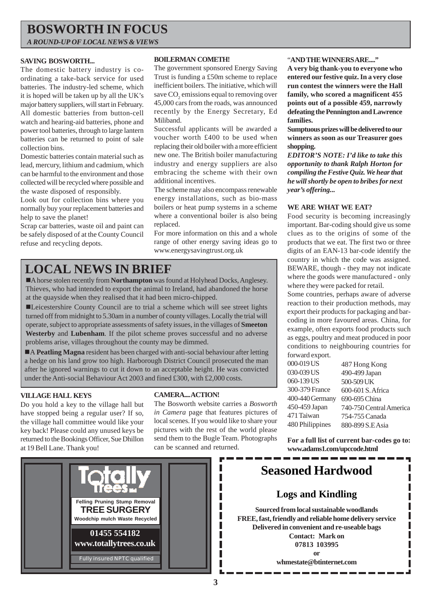## **BOSWORTH IN FOCUS**

*A ROUND-UP OF LOCAL NEWS & VIEWS*

#### **SAVING BOSWORTH...**

The domestic battery industry is coordinating a take-back service for used batteries. The industry-led scheme, which it is hoped will be taken up by all the UK's major battery suppliers, will start in February. All domestic batteries from button-cell watch and hearing-aid batteries, phone and power tool batteries, through to large lantern batteries can be returned to point of sale collection bins.

Domestic batteries contain material such as lead, mercury, lithium and cadmium, which can be harmful to the environment and those collected will be recycled where possible and the waste disposed of responsibly.

Look out for collection bins where you normally buy your replacement batteries and help to save the planet!

Scrap car batteries, waste oil and paint can be safely disposed of at the County Council refuse and recycling depots.

#### **BOILERMAN COMETH!**

The government sponsored Energy Saving Trust is funding a £50m scheme to replace inefficient boilers. The initiative, which will save  $\mathrm{CO}_2$  emissions equal to removing over 45,000 cars from the roads, was announced recently by the Energy Secretary, Ed Miliband.

Successful applicants will be awarded a voucher worth £400 to be used when replacing their old boiler with a more efficient new one. The British boiler manufacturing industry and energy suppliers are also embracing the scheme with their own additional incentives.

The scheme may also encompass renewable energy installations, such as bio-mass boilers or heat pump systems in a scheme where a conventional boiler is also being replaced.

For more information on this and a whole range of other energy saving ideas go to www.energysavingtrust.org.uk

## **LOCAL NEWS IN BRIEF**

!A horse stolen recently from **Northampton** was found at Holyhead Docks, Anglesey. Thieves, who had intended to export the animal to Ireland, had abandoned the horse at the quayside when they realised that it had been micro-chipped.

!Leicestershire County Council are to trial a scheme which will see street lights turned off from midnight to 5.30am in a number of county villages. Locally the trial will operate, subject to appropriate assessments of safety issues, in the villages of **Smeeton Westerby** and **Lubenham**. If the pilot scheme proves successful and no adverse problems arise, villages throughout the county may be dimmed.

!A **Peatling Magna** resident has been charged with anti-social behaviour after letting a hedge on his land grow too high. Harborough District Council prosecuted the man after he ignored warnings to cut it down to an acceptable height. He was convicted under the Anti-social Behaviour Act 2003 and fined £300, with £2,000 costs.

#### **VILLAGE HALL KEYS**

Do you hold a key to the village hall but have stopped being a regular user? If so, the village hall committee would like your key back! Please could any unused keys be returned to the Bookings Officer, Sue Dhillon at 19 Bell Lane. Thank you!

#### **CAMERA.... ACTION!**

The Bosworth website carries a *Bosworth in Camera* page that features pictures of local scenes. If you would like to share your pictures with the rest of the world please send them to the Bugle Team. Photographs can be scanned and returned.

#### "**AND THE WINNERS ARE...."**

**A very big thank-you to everyone who entered our festive quiz. In a very close run contest the winners were the Hall family, who scored a magnificent 455 points out of a possible 459, narrowly defeating the Pennington and Lawrence families.**

**Sumptuous prizes will be delivered to our winners as soon as our Treasurer goes shopping.**

*EDITOR'S NOTE: I'd like to take this opportunity to thank Ralph Horton for compiling the Festive Quiz. We hear that he will shortly be open to bribes for next year's offering...*

#### **WE ARE WHAT WE EAT?**

Food security is becoming increasingly important. Bar-coding should give us some clues as to the origins of some of the products that we eat. The first two or three digits of an EAN-13 bar-code identify the country in which the code was assigned. BEWARE, though - they may not indicate where the goods were manufactured - only where they were packed for retail.

Some countries, perhaps aware of adverse reaction to their production methods, may export their products for packaging and barcoding in more favoured areas. China, for example, often exports food products such as eggs, poultry and meat produced in poor conditions to neighbouring countries for forward export.

| $10111$ and $1011$ |                         |
|--------------------|-------------------------|
| 000-019 US         | 487 Hong Kong           |
| 030-039 US         | 490-499 Japan           |
| 060-139 US         | 500-509 UK              |
| 300-379 France     | 600-601 S. Africa       |
| 400-440 Germany    | 690-695 China           |
| 450-459 Japan      | 740-750 Central America |
| 471 Taiwan         | 754-755 Canada          |
| 480 Philippines    | 880-899 S.EAsia         |
|                    |                         |

**For a full list of current bar-codes go to: www.adams1.com/upccode.html**



## **Seasoned Hardwood**

### **Logs and Kindling**

**Sourced from local sustainable woodlands FREE, fast, friendly and reliable home delivery service Delivered in convenient and re-useable bags Contact: Mark on 07813 103995 or**

**whmestate@btinternet.com**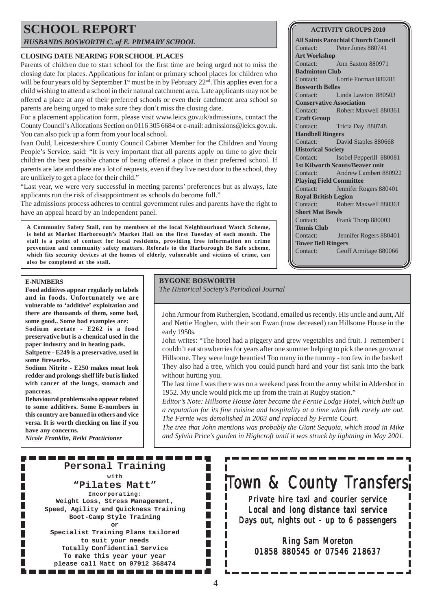## **SCHOOL REPORT**

*HUSBANDS BOSWORTH C. of E. PRIMARY SCHOOL*

#### **CLOSING DATE NEARING FOR SCHOOL PLACES**

Parents of children due to start school for the first time are being urged not to miss the closing date for places. Applications for infant or primary school places for children who will be four years old by September  $1<sup>st</sup>$  must be in by February  $22<sup>nd</sup>$ . This applies even for a child wishing to attend a school in their natural catchment area. Late applicants may not be offered a place at any of their preferred schools or even their catchment area school so parents are being urged to make sure they don't miss the closing date.

For a placement application form, please visit www.leics.gov.uk/admissions, contact the County Council's Allocations Section on 0116 305 6684 or e-mail: admissions@leics.gov.uk. You can also pick up a form from your local school.

Ivan Ould, Leicestershire County Council Cabinet Member for the Children and Young People's Service, said: "It is very important that all parents apply on time to give their children the best possible chance of being offered a place in their preferred school. If parents are late and there are a lot of requests, even if they live next door to the school, they are unlikely to get a place for their child."

"Last year, we were very successful in meeting parents' preferences but as always, late applicants run the risk of disappointment as schools do become full."

The admissions process adheres to central government rules and parents have the right to have an appeal heard by an independent panel.

**A Community Safety Stall, run by members of the local Neighbourhood Watch Scheme, is held at Market Harborough's Market Hall on the first Tuesday of each month. The stall is a point of contact for local residents, providing free information on crime prevention and community safety matters. Referals to the Harborough Be Safe scheme, which fits security devices at the homes of elderly, vulnerable and victims of crime, can also be completed at the stall.**

#### **E-NUMBERS**

**Food additives appear regularly on labels and in foods. Unfortunately we are vulnerable to 'additive' exploitation and there are thousands of them, some bad, some good.. Some bad examples are: Sodium acetate - E262 is a food preservative but is a chemical used in the paper industry and in heating pads.**

**Saltpetre - E249 is a preservative, used in some fireworks.**

**Sodium Nitrite - E250 makes meat look redder and prolongs shelf life but is linked with cancer of the lungs, stomach and pancreas.**

**Behavioural problems also appear related to some additives. Some E-numbers in this country are banned in others and vice versa. It is worth checking on line if you have any concerns.**

*Nicole Franklin, Reiki Practicioner*

n I

#### **BYGONE BOSWORTH**

*The Historical Society's Periodical Journal*

John Armour from Rutherglen, Scotland, emailed us recently. His uncle and aunt, Alf and Nettie Hogben, with their son Ewan (now deceased) ran Hillsome House in the early 1950s.

John writes: "The hotel had a piggery and grew vegetables and fruit. I remember I couldn't eat strawberries for years after one summer helping to pick the ones grown at Hillsome. They were huge beauties! Too many in the tummy - too few in the basket! They also had a tree, which you could punch hard and your fist sank into the bark without hurting you.

The last time I was there was on a weekend pass from the army whilst in Aldershot in 1952. My uncle would pick me up from the train at Rugby station."

*Editor's Note: Hillsome House later became the Fernie Lodge Hotel, which built up a reputation for its fine cuisine and hospitality at a time when folk rarely ate out. The Fernie was demolished in 2003 and replaced by Fernie Court.*

*The tree that John mentions was probably the Giant Sequoia, which stood in Mike and Sylvia Price's garden in Highcroft until it was struck by lightning in May 2001.*

#### **All Saints Parochial Church Council**

**ACTIVITY GROUPS 2010**

Contact: Peter Jones 880741 **Art Workshop** Contact: Ann Saxton 880971 **Badminton Club** Contact: Lorrie Forman 880281 **Bosworth Belles** Contact: Linda Lawton 880503 **Conservative Association** Contact: Robert Maxwell 880361 **Craft Group** Contact: Tricia Day 880748 **Handbell Ringers** Contact: David Staples 880668 **Historical Society** Contact: Isobel Pepperill 880081 **1st Kilworth Scouts/Beaver unit** Contact: Andrew Lambert 880922 **Playing Field Committee** Contact: Jennifer Rogers 880401 **Royal British Legion** Contact: Robert Maxwell 880361 **Short Mat Bowls** Contact: Frank Thorp 880003 **Tennis Club** Contact: Jennifer Rogers 880401 **Tower Bell Ringers** Contact: Geoff Armitage 880066

#### **Personal Training** П **with "Pilates Matt"** Г

**Incorporating: Weight Loss, Stress Management, Speed, Agility and Quickness Training Boot-Camp Style Training or**

. . . . . . . . .

**Specialist Training Plans tailored to suit your needs Totally Confidential Service To make this year your year please call Matt on 07912 368474**

-----------

## Town & County Transfers

Private hire taxi and courier service Local and long distance taxi service Days out, nights out - up to  $6$  passengers

Ring Sam Moreton 01858 880545 or 07546 218637

Ш ш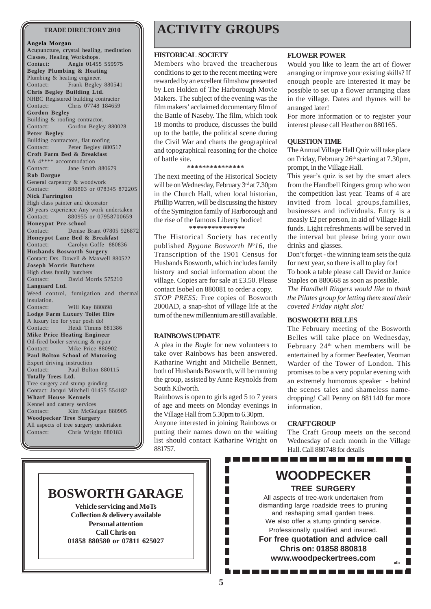#### **Angela Morgan**

Acupuncture, crystal healing, meditation Classes, Healing Workshops. Contact: Angie 01455 559975 **Begley Plumbing & Heating** Plumbing & heating engineer. Contact: Frank Begley 880541 **Chris Begley Building Ltd.** NHBC Registered building contractor Contact: Chris 07748 184659 **Gordon Begley** Building & roofing contractor. Contact: Gordon Begley 880028 **Peter Begley** Building contractors, flat roofing Contact: Peter Begley 880517 **Croft Farm Bed & Breakfast** AA 4\*\*\*\* accommodation Contact: Jane Smith 880679 **Rob Dargue** General carpentry & woodwork Contact: 880803 or 078345 872205 **Nick Farrington** High class painter and decorator 30 years experience Any work undertaken Contact: 880955 or 07958700659 **Honeypot Pre-school** Contact: Denise Brant 07805 926872 **Honeypot Lane Bed & Breakfast** Contact: Carolyn Goffe 880836 **Husbands Bosworth Surgery** Contact: Drs. Dowell & Maxwell 880522 **Joseph Morris Butchers** High class family butchers Contact: David Morris 575210 **Languard Ltd.** Weed control, fumigation and thermal insulation. Contact: Will Kay 880898 **Lodge Farm Luxury Toilet Hire** A luxury loo for your posh do! Contact: Heidi Timms 881386 **Mike Price Heating Engineer** Oil-fired boiler servicing & repair Contact: Mike Price 880902 **Paul Bolton School of Motoring** Expert driving instruction Contact: Paul Bolton 880115 **Totally Trees Ltd.** Tree surgery and stump grinding Contact: Jacqui Mitchell 01455 554182 **Wharf House Kennels** Kennel and cattery services Contact: Kim McGuigan 880905 **Woodpecker Tree Surgery** All aspects of tree surgery undertaken Contact: Chris Wright 880183

## **TRADE DIRECTORY 2010 ACTIVITY GROUPS**

#### **HISTORICAL SOCIETY**

Members who braved the treacherous conditions to get to the recent meeting were rewarded by an excellent filmshow presented by Len Holden of The Harborough Movie Makers. The subject of the evening was the film makers' acclaimed documentary film of the Battle of Naseby. The film, which took 18 months to produce, discusses the build up to the battle, the political scene during the Civil War and charts the geographical and topographical reasoning for the choice of battle site.

**\*\*\*\*\*\*\*\*\*\*\*\*\*\*\***

The next meeting of the Historical Society will be on Wednesday, February 3rd at 7.30pm in the Church Hall, when local historian, Phillip Warren, will be discussing the history of the Symington family of Harborough and the rise of the famous Liberty bodice! **\*\*\*\*\*\*\*\*\*\*\*\*\*\*\***

The Historical Society has recently published *Bygone Bosworth No 16*, the Transcription of the 1901 Census for Husbands Bosworth, which includes family history and social information about the village. Copies are for sale at £3.50. Please contact Isobel on 880081 to order a copy. *STOP PRESS:* Free copies of Bosworth 2000AD, a snap-shot of village life at the turn of the new millennium are still available.

#### **RAINBOWS UPDATE**

A plea in the *Bugle* for new volunteers to take over Rainbows has been answered. Katharine Wright and Michelle Bennett, both of Husbands Bosworth, will be running the group, assisted by Anne Reynolds from South Kilworth.

Rainbows is open to girls aged 5 to 7 years of age and meets on Monday evenings in the Village Hall from 5.30pm to 6.30pm.

Anyone interested in joining Rainbows or putting their names down on the waiting list should contact Katharine Wright on 881757.

#### **FLOWER POWER**

Would you like to learn the art of flower arranging or improve your existing skills? If enough people are interested it may be possible to set up a flower arranging class in the village. Dates and thymes will be arranged later!

For more information or to register your interest please call Heather on 880165.

#### **QUESTION TIME**

The Annual Village Hall Quiz will take place on Friday, February  $26<sup>th</sup>$  starting at 7.30pm, prompt, in the Village Hall.

This year's quiz is set by the smart alecs from the Handbell Ringers group who won the competition last year. Teams of 4 are invited from local groups,families, businesses and individuals. Entry is a measly £2 per person, in aid of Village Hall funds. Light refreshments will be served in the interval but please bring your own drinks and glasses.

Don't forget - the winning team sets the quiz for next year, so there is all to play for!

To book a table please call David or Janice Staples on 880668 as soon as possible.

*The Handbell Ringers would like to thank the Pilates group for letting them steal their coveted Friday night slot!*

#### **BOSWORTH BELLES**

The February meeting of the Bosworth Belles will take place on Wednesday, February 24<sup>th</sup> when members will be entertained by a former Beefeater, Yeoman Warder of the Tower of London. This promises to be a very popular evening with an extremely humorous speaker - behind the scenes tales and shameless namedropping! Call Penny on 881140 for more information.

#### **CRAFT GROUP**

-----------------

The Craft Group meets on the second Wednesday of each month in the Village Hall. Call 880748 for details

. . . . . . . .

F Г

## **BOSWORTH GARAGE**

**Vehicle servicing and MoTs Collection & delivery available Personal attention Call Chris on 01858 880580 or 07811 625027** **WOODPECKER TREE SURGERY**

All aspects of tree-work undertaken from dismantling large roadside trees to pruning and reshaping small garden trees. We also offer a stump grinding service. Professionally qualified and insured. **For free quotation and advice call Chris on: 01858 880818 www.woodpeckertrees.com ufn**

F.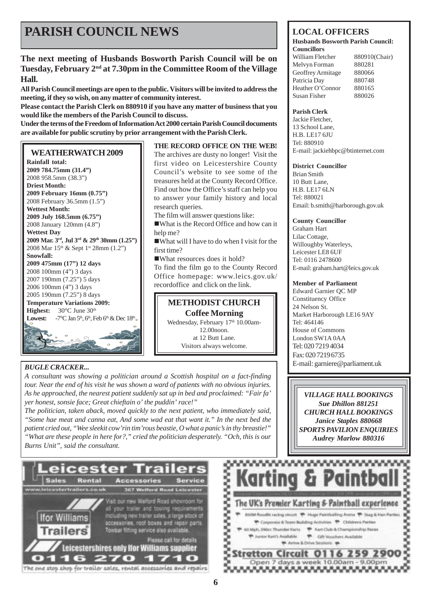## **PARISH COUNCIL NEWS** LOCAL OFFICERS

### **The next meeting of Husbands Bosworth Parish Council will be on Tuesday, February 2nd at 7.30pm in the Committee Room of the Village Hall.**

**All Parish Council meetings are open to the public. Visitors will be invited to address the meeting, if they so wish, on any matter of community interest.**

**Please contact the Parish Clerk on 880910 if you have any matter of business that you would like the members of the Parish Council to discuss.**

**Under the terms of the Freedom of Information Act 2000 certain Parish Council documents are available for public scrutiny by prior arrangement with the Parish Clerk.**

#### **WEATHERWATCH 2009**

**Rainfall total: 2009 784.75mm (31.4")** 2008 958.5mm (38.3") **Driest Month: 2009 February 16mm (0.75")** 2008 February 36.5mm (1.5") **Wettest Month: 2009 July 168.5mm (6.75")** 2008 January 120mm (4.8") **Wettest Day 2009 Mar. 3rd, Jul 3rd & 29th 30mm (1.25")** 2008 Mar 15<sup>th</sup> & Sept 1<sup>st</sup> 28mm (1.2") **Snowfall: 2009 475mm (17") 12 days** 2008 100mm (4") 3 days 2007 190mm (7.25") 5 days 2006 100mm (4") 3 days 2005 190mm (7.25") 8 days **Temperature Variations 2009: Highest:** 30°C June 30<sup>th</sup> **Lowest:**  $-7^{\circ}\text{C}$  Jan  $5^{\text{th}}$ ,  $6^{\text{th}}$ , Feb  $6^{\text{th}}$  & Dec  $18^{\text{th}}$ . <u>ය</u> ග

### *BUGLE CRACKER...*

*A consultant was showing a politician around a Scottish hospital on a fact-finding tour. Near the end of his visit he was shown a ward of patients with no obvious injuries. As he approached, the nearest patient suddenly sat up in bed and proclaimed: "Fair fa' yer honest, sonsie face; Great chieftain o' the puddin' race!"*

*The politician, taken aback, moved quickly to the next patient, who immediately said, "Some hae meat and canna eat, And some wad eat that want it." In the next bed the patient cried out, "Wee sleekit cow'rin tim'rous beastie, O what a panic's in thy breastie!" "What are these people in here for?," cried the politician desperately. "Och, this is our Burns Unit", said the consultant.*



```
The one stop shop for trailer sales, rental accessories and repairs
```
### **THE RECORD OFFICE ON THE WEB!**

The archives are dusty no longer! Visit the first video on Leicestershire County Council's website to see some of the treasures held at the County Record Office. Find out how the Office's staff can help you to answer your family history and local research queries.

The film will answer questions like:

!What is the Record Office and how can it help me?

!What will I have to do when I visit for the first time?

!What resources does it hold? To find the film go to the County Record Office homepage: www.leics.gov.uk/ recordoffice and click on the link.

**METHODIST CHURCH Coffee Morning** Wednesday, February 17<sup>th</sup> 10.00am-12.00noon. at 12 Butt Lane.

Visitors always welcome.

#### **Husbands Bosworth Parish Council: Councillors**

William Fletcher 880910(Chair) Melvyn Forman 880281 Geoffrey Armitage 880066 Patricia Day 880748 Heather O'Connor 880165 Susan Fisher 880026

#### **Parish Clerk**

Jackie Fletcher, 13 School Lane, H.B. LE17 6III Tel: 880910 E-mail: jackiehbpc@btinternet.com

#### **District Councillor**

Brian Smith 10 Butt Lane, H.B. LE17 6LN Tel: 880021 Email: b.smith@harborough.gov.uk

#### **County Councillor**

Graham Hart Lilac Cottage, Willoughby Waterleys, Leicester LE8 6UF Tel: 0116 2478600 E-mail: graham.hart@leics.gov.uk

#### **Member of Parliament**

Edward Garnier QC MP Constituency Office 24 Nelson St. Market Harborough LE16 9AY Tel: 464146 House of Commons London SW1A 0AA Tel: 020 7219 4034 Fax: 020 7219 6735 E-mail: garniere@parliament.uk

*VILLAGE HALL BOOKINGS Sue Dhillon 881251 CHURCH HALL BOOKINGS Janice Staples 880668 SPORTS PAVILION ENQUIRIES Audrey Marlow 880316*

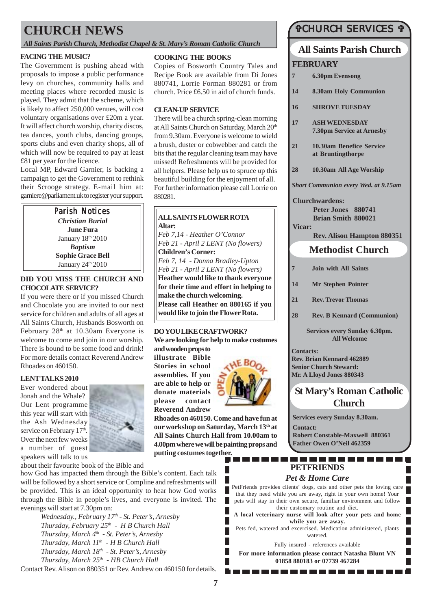## **CHURCH NEWS**

*All Saints Parish Church, Methodist Chapel & St. Mary's Roman Catholic Church*

#### **FACING THE MUSIC?**

The Government is pushing ahead with proposals to impose a public performance levy on churches, community halls and meeting places where recorded music is played. They admit that the scheme, which is likely to affect 250,000 venues, will cost voluntary organisations over £20m a year. It will affect church worship, charity discos, tea dances, youth clubs, dancing groups, sports clubs and even charity shops, all of which will now be required to pay at least £81 per year for the licence.

Local MP, Edward Garnier, is backing a campaign to get the Government to rethink their Scrooge strategy. E-mail him at: garniere@parliament.uk to register your support.

> Parish Notices *Christian Burial* **June Fura** January 18th 2010 *Baptism* **Sophie Grace Bell** January 24<sup>th</sup> 2010

#### **DID YOU MISS THE CHURCH AND CHOCOLATE SERVICE?**

If you were there or if you missed Church and Chocolate you are invited to our next service for children and adults of all ages at All Saints Church, Husbands Bosworth on February 28th at 10.30am Everyone is welcome to come and join in our worship. There is bound to be some food and drink! For more details contact Reverend Andrew Rhoades on 460150.

#### **LENT TALKS 2010**

Ever wondered about Jonah and the Whale? Our Lent programme this year will start with the Ash Wednesday service on February 17<sup>th</sup>. Over the next few weeks a number of guest



speakers will talk to us

about their favourite book of the Bible and

how God has impacted them through the Bible's content. Each talk will be followed by a short service or Compline and refreshments will be provided. This is an ideal opportunity to hear how God works through the Bible in people's lives, and everyone is invited. The evenings will start at 7.30pm on:

*Wednesday., February 17th - St. Peter's, Arnesby Thursday, February 25th - H B Church Hall Thursday, March 4th - St. Peter's, Arnesby Thursday, March 11th - H B Church Hall Thursday, March 18th - St. Peter's, Arnesby Thursday, March 25th - HB Church Hall*

Contact Rev. Alison on 880351 or Rev. Andrew on 460150 for details.

#### **COOKING THE BOOKS**

Copies of Bosworth Country Tales and Recipe Book are available from Di Jones 880741, Lorrie Forman 880281 or from church. Price £6.50 in aid of church funds.

#### **CLEAN-UP SERVICE**

There will be a church spring-clean morning at All Saints Church on Saturday, March 20<sup>th</sup> from 9.30am. Everyone is welcome to wield a brush, duster or cobwebber and catch the bits that the regular cleaning team may have missed! Refreshments will be provided for all helpers. Please help us to spruce up this beautiful building for the enjoyment of all. For further information please call Lorrie on 880281.

#### **ALL SAINTS FLOWER ROTA Altar:**

*Feb 7,14 - Heather O'Connor Feb 21 - April 2 LENT (No flowers)* **Children's Corner:** *Feb 7, 14 - Donna Bradley-Upton Feb 21 - April 2 LENT (No flowers)* **Heather would like to thank everyone for their time and effort in helping to make the church welcoming. Please call Heather on 880165 if you would like to join the Flower Rota.**

#### **DO YOU LIKE CRAFTWORK?**

**We are looking for help to make costumes and wooden props to**

**illustrate Bible Stories in school assemblies. If you are able to help or donate materials please contact Reverend Andrew**



**Rhoades on 460150. Come and have fun at our workshop on Saturday, March 13th at All Saints Church Hall from 10.00am to 4.00pm where we will be painting props and putting costumes together.**

### "CHURCH SERVICES "

### **All Saints Parish Church FEBRUARY**

| 7      | <b>6.30pm Evensong</b>                                   |  |
|--------|----------------------------------------------------------|--|
| 14     | 8.30am Holy Communion                                    |  |
| 16     | <b>SHROVE TUESDAY</b>                                    |  |
| 17     | <b>ASH WEDNESDAY</b><br><b>7.30pm Service at Arnesby</b> |  |
| 21     | 10.30am Benefice Service<br>at Bruntingthorpe            |  |
| 28     | 10.30am All Age Worship                                  |  |
|        | <b>Short Communion every Wed. at 9.15am</b>              |  |
|        | <b>Churchwardens:</b>                                    |  |
|        | Peter Jones 880741                                       |  |
|        | <b>Brian Smith 880021</b>                                |  |
| Vicar: |                                                          |  |
|        | <b>Rev. Alison Hampton 880351</b>                        |  |
|        | <b>Methodist Church</b>                                  |  |
| 7      | <b>Join with All Saints</b>                              |  |
| 14     | <b>Mr Stephen Pointer</b>                                |  |
| 21     | <b>Rev. Trevor Thomas</b>                                |  |

**28 Rev. B Kennard (Communion)**

**Services every Sunday 6.30pm. All Welcome**

**Contacts: Rev. Brian Kennard 462889 Senior Church Steward: Mr. A Lloyd Jones 880343**

## **St Mary's Roman Catholic Church**

П

**Services every Sunday 8.30am.**

**Contact: Robert Constable-Maxwell 880361 Father Owen O'Neil 462359**

### . . . . . . . . . . . **PETFRIENDS**

### *Pet & Home Care*

PetFriends provides clients' dogs, cats and other pets the loving care that they need while you are away, right in your own home! Your pets will stay in their own secure, familiar environment and follow their customary routine and diet.

**A local veterinary nurse will look after your pets and home while you are away.**

Pets fed, watered and excercised. Medication administered, plants watered.

Fully insured - references available

**For more information please contact Natasha Blunt VN 01858 880183 or 07739 467284**

----------------